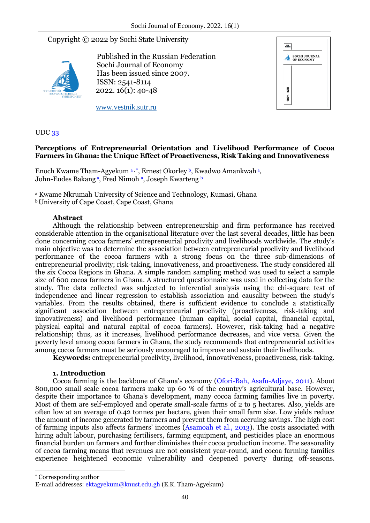# Copyright © 2022 by Sochi State University



Published in the Russian Federation Sochi Journal of Economy Has been issued since 2007. ISSN: 2541-8114 2022. 16(1): 40-48



www.vestnik.sutr.ru

UDC 33

## **Perceptions of Entrepreneurial Orientation and Livelihood Performance of Cocoa Farmers in Ghana: the Unique Effect of Proactiveness, Risk Taking and Innovativeness**

Enoch Kwame Tham-Agyekum a, \*, Ernest Okorley b, Kwadwo Amankwah a, John-Eudes Bakang<u>a, Fred Nimoha, Joseph Kwarteng b</u>

<sup>a</sup> Kwame Nkrumah University of Science and Technology, Kumasi, Ghana

<sup>b</sup>University of Cape Coast, Cape Coast, Ghana

## **Abstract**

Although the relationship between entrepreneurship and firm performance has received considerable attention in the organisational literature over the last several decades, little has been done concerning cocoa farmers' entrepreneurial proclivity and livelihoods worldwide. The study's main objective was to determine the association between entrepreneurial proclivity and livelihood performance of the cocoa farmers with a strong focus on the three sub-dimensions of entrepreneurial proclivity; risk-taking, innovativeness, and proactiveness. The study considered all the six Cocoa Regions in Ghana. A simple random sampling method was used to select a sample size of 600 cocoa farmers in Ghana. A structured questionnaire was used in collecting data for the study. The data collected was subjected to inferential analysis using the chi-square test of independence and linear regression to establish association and causality between the study's variables. From the results obtained, there is sufficient evidence to conclude a statistically significant association between entrepreneurial proclivity (proactiveness, risk-taking and innovativeness) and livelihood performance (human capital, social capital, financial capital, physical capital and natural capital of cocoa farmers). However, risk-taking had a negative relationship; thus, as it increases, livelihood performance decreases, and vice versa. Given the poverty level among cocoa farmers in Ghana, the study recommends that entrepreneurial activities among cocoa farmers must be seriously encouraged to improve and sustain their livelihoods.

**Keywords:** entrepreneurial proclivity, livelihood, innovativeness, proactiveness, risk-taking.

## **1. Introduction**

Cocoa farming is the backbone of Ghana's economy (Ofori-Bah, Asafu-Adjaye, 2011). About 800,000 small scale cocoa farmers make up 60 % of the country's agricultural base. However, despite their importance to Ghana's development, many cocoa farming families live in poverty. Most of them are self-employed and operate small-scale farms of 2 to 5 hectares. Also, yields are often low at an average of 0.42 tonnes per hectare, given their small farm size. Low yields reduce the amount of income generated by farmers and prevent them from accruing savings. The high cost of farming inputs also affects farmers' incomes (Asamoah et al., 2013). The costs associated with hiring adult labour, purchasing fertilisers, farming equipment, and pesticides place an enormous financial burden on farmers and further diminishes their cocoa production income. The seasonality of cocoa farming means that revenues are not consistent year-round, and cocoa farming families experience heightened economic vulnerability and deepened poverty during off-seasons.

1

<sup>\*</sup> Corresponding author

E-mail addresses: ektagyekum@knust.edu.gh (E.K. Tham-Agyekum)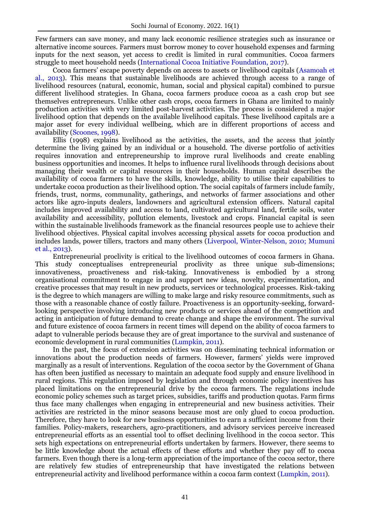Few farmers can save money, and many lack economic resilience strategies such as insurance or alternative income sources. Farmers must borrow money to cover household expenses and farming inputs for the next season, yet access to credit is limited in rural communities. Cocoa farmers struggle to meet household needs (International Cocoa Initiative Foundation, 2017).

Cocoa farmers' escape poverty depends on access to assets or livelihood capitals (Asamoah et al., 2013). This means that sustainable livelihoods are achieved through access to a range of livelihood resources (natural, economic, human, social and physical capital) combined to pursue different livelihood strategies. In Ghana, cocoa farmers produce cocoa as a cash crop but see themselves entrepreneurs. Unlike other cash crops, cocoa farmers in Ghana are limited to mainly production activities with very limited post-harvest activities. The process is considered a major livelihood option that depends on the available livelihood capitals. These livelihood capitals are a major asset for every individual wellbeing, which are in different proportions of access and availability (Scoones, 1998).

Ellis (1998) explains livelihood as the activities, the assets, and the access that jointly determine the living gained by an individual or a household. The diverse portfolio of activities requires innovation and entrepreneurship to improve rural livelihoods and create enabling business opportunities and incomes. It helps to influence rural livelihoods through decisions about managing their wealth or capital resources in their households. Human capital describes the availability of cocoa farmers to have the skills, knowledge, ability to utilise their capabilities to undertake cocoa production as their livelihood option. The social capitals of farmers include family, friends, trust, norms, communality, gatherings, and networks of farmer associations and other actors like agro-inputs dealers, landowners and agricultural extension officers. Natural capital includes improved availability and access to land, cultivated agricultural land, fertile soils, water availability and accessibility, pollution elements, livestock and crops. Financial capital is seen within the sustainable livelihoods framework as the financial resources people use to achieve their livelihood objectives. Physical capital involves accessing physical assets for cocoa production and includes lands, power tillers, tractors and many others (Liverpool, Winter-Nelson, 2010; Mumuni et al., 2013).

Entrepreneurial proclivity is critical to the livelihood outcomes of cocoa farmers in Ghana. This study conceptualises entrepreneurial proclivity as three unique sub-dimensions; innovativeness, proactiveness and risk-taking. Innovativeness is embodied by a strong organisational commitment to engage in and support new ideas, novelty, experimentation, and creative processes that may result in new products, services or technological processes. Risk-taking is the degree to which managers are willing to make large and risky resource commitments, such as those with a reasonable chance of costly failure. Proactiveness is an opportunity-seeking, forwardlooking perspective involving introducing new products or services ahead of the competition and acting in anticipation of future demand to create change and shape the environment. The survival and future existence of cocoa farmers in recent times will depend on the ability of cocoa farmers to adapt to vulnerable periods because they are of great importance to the survival and sustenance of economic development in rural communities (Lumpkin, 2011).

In the past, the focus of extension activities was on disseminating technical information or innovations about the production needs of farmers. However, farmers' yields were improved marginally as a result of interventions. Regulation of the cocoa sector by the Government of Ghana has often been justified as necessary to maintain an adequate food supply and ensure livelihood in rural regions. This regulation imposed by legislation and through economic policy incentives has placed limitations on the entrepreneurial drive by the cocoa farmers. The regulations include economic policy schemes such as target prices, subsidies, tariffs and production quotas. Farm firms thus face many challenges when engaging in entrepreneurial and new business activities. Their activities are restricted in the minor seasons because most are only glued to cocoa production. Therefore, they have to look for new business opportunities to earn a sufficient income from their families. Policy-makers, researchers, agro-practitioners, and advisory services perceive increased entrepreneurial efforts as an essential tool to offset declining livelihood in the cocoa sector. This sets high expectations on entrepreneurial efforts undertaken by farmers. However, there seems to be little knowledge about the actual effects of these efforts and whether they pay off to cocoa farmers. Even though there is a long-term appreciation of the importance of the cocoa sector, there are relatively few studies of entrepreneurship that have investigated the relations between entrepreneurial activity and livelihood performance within a cocoa farm context (Lumpkin, 2011).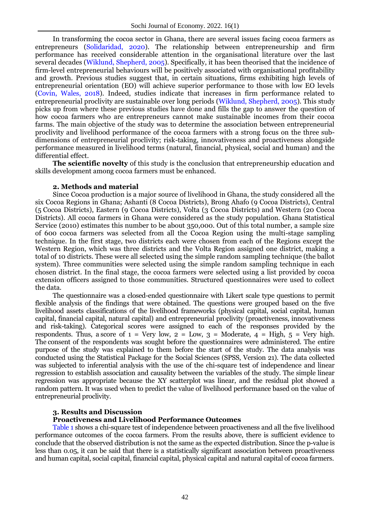In transforming the cocoa sector in Ghana, there are several issues facing cocoa farmers as entrepreneurs (Solidaridad, 2020). The relationship between entrepreneurship and firm performance has received considerable attention in the organisational literature over the last several decades (Wiklund, Shepherd, 2005). Specifically, it has been theorised that the incidence of firm-level entrepreneurial behaviours will be positively associated with organisational profitability and growth. Previous studies suggest that, in certain situations, firms exhibiting high levels of entrepreneurial orientation (EO) will achieve superior performance to those with low EO levels (Covin, Wales, 2018). Indeed, studies indicate that increases in firm performance related to entrepreneurial proclivity are sustainable over long periods (Wiklund, Shepherd, 2005). This study picks up from where these previous studies have done and fills the gap to answer the question of how cocoa farmers who are entrepreneurs cannot make sustainable incomes from their cocoa farms. The main objective of the study was to determine the association between entrepreneurial proclivity and livelihood performance of the cocoa farmers with a strong focus on the three subdimensions of entrepreneurial proclivity; risk-taking, innovativeness and proactiveness alongside performance measured in livelihood terms (natural, financial, physical, social and human) and the differential effect.

**The scientific novelty** of this study is the conclusion that entrepreneurship education and skills development among cocoa farmers must be enhanced.

#### **2. Methods and material**

Since Cocoa production is a major source of livelihood in Ghana, the study considered all the six Cocoa Regions in Ghana; Ashanti (8 Cocoa Districts), Brong Ahafo (9 Cocoa Districts), Central (5 Cocoa Districts), Eastern (9 Cocoa Districts), Volta (3 Cocoa Districts) and Western (20 Cocoa Districts). All cocoa farmers in Ghana were considered as the study population. Ghana Statistical Service (2010) estimates this number to be about 350,000. Out of this total number, a sample size of 600 cocoa farmers was selected from all the Cocoa Region using the multi-stage sampling technique. In the first stage, two districts each were chosen from each of the Regions except the Western Region, which was three districts and the Volta Region assigned one district, making a total of 10 districts. These were all selected using the simple random sampling technique (the ballot system). Three communities were selected using the simple random sampling technique in each chosen district. In the final stage, the cocoa farmers were selected using a list provided by cocoa extension officers assigned to those communities. Structured questionnaires were used to collect the data.

The questionnaire was a closed-ended questionnaire with Likert scale type questions to permit flexible analysis of the findings that were obtained. The questions were grouped based on the five livelihood assets classifications of the livelihood frameworks (physical capital, social capital, human capital, financial capital, natural capital) and entrepreneurial proclivity (proactiveness, innovativeness and risk-taking). Categorical scores were assigned to each of the responses provided by the respondents. Thus, a score of  $1 = \text{Very low}, 2 = \text{Low}, 3 = \text{Modern}, 4 = \text{High}, 5 = \text{Very high}.$ The consent of the respondents was sought before the questionnaires were administered. The entire purpose of the study was explained to them before the start of the study. The data analysis was conducted using the Statistical Package for the Social Sciences (SPSS, Version 21). The data collected was subjected to inferential analysis with the use of the chi-square test of independence and linear regression to establish association and causality between the variables of the study. The simple linear regression was appropriate because the XY scatterplot was linear, and the residual plot showed a random pattern. It was used when to predict the value of livelihood performance based on the value of entrepreneurial proclivity.

#### **3. Results and Discussion**

#### **Proactiveness and Livelihood Performance Outcomes**

Table 1 shows a chi-square test of independence between proactiveness and all the five livelihood performance outcomes of the cocoa farmers. From the results above, there is sufficient evidence to conclude that the observed distribution is not the same as the expected distribution. Since the p-value is less than 0.05, it can be said that there is a statistically significant association between proactiveness and human capital, social capital, financial capital, physical capital and natural capital of cocoa farmers.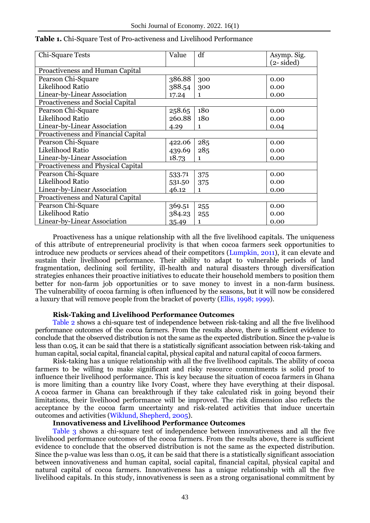| Chi-Square Tests                    | Value  | df           | Asymp. Sig.          |  |  |  |
|-------------------------------------|--------|--------------|----------------------|--|--|--|
|                                     |        |              | $(2 - \text{sided})$ |  |  |  |
| Proactiveness and Human Capital     |        |              |                      |  |  |  |
| Pearson Chi-Square                  | 386.88 | 300          | 0.00                 |  |  |  |
| Likelihood Ratio                    | 388.54 | 300          | 0.00                 |  |  |  |
| Linear-by-Linear Association        | 17.24  | $\mathbf{1}$ | 0.00                 |  |  |  |
| Proactiveness and Social Capital    |        |              |                      |  |  |  |
| Pearson Chi-Square                  | 258.65 | 180          | 0.00                 |  |  |  |
| Likelihood Ratio                    | 260.88 | 180          | 0.00                 |  |  |  |
| Linear-by-Linear Association        | 4.29   | $\mathbf{1}$ | 0.04                 |  |  |  |
| Proactiveness and Financial Capital |        |              |                      |  |  |  |
| Pearson Chi-Square                  | 422.06 | 285          | 0.00                 |  |  |  |
| Likelihood Ratio                    | 439.69 | 285          | 0.00                 |  |  |  |
| Linear-by-Linear Association        | 18.73  | $\mathbf{1}$ | 0.00                 |  |  |  |
| Proactiveness and Physical Capital  |        |              |                      |  |  |  |
| Pearson Chi-Square                  | 533.71 | 375          | 0.00                 |  |  |  |
| Likelihood Ratio                    | 531.50 | 375          | 0.00                 |  |  |  |
| Linear-by-Linear Association        | 46.12  | $\mathbf{1}$ | 0.00                 |  |  |  |
| Proactiveness and Natural Capital   |        |              |                      |  |  |  |
| Pearson Chi-Square                  | 369.51 | 255          | 0.00                 |  |  |  |
| Likelihood Ratio                    | 384.23 | 255          | 0.00                 |  |  |  |
| Linear-by-Linear Association        | 35.49  | $\mathbf{1}$ | 0.00                 |  |  |  |

#### **Table 1.** Chi-Square Test of Pro-activeness and Livelihood Performance

Proactiveness has a unique relationship with all the five livelihood capitals. The uniqueness of this attribute of entrepreneurial proclivity is that when cocoa farmers seek opportunities to introduce new products or services ahead of their competitors (Lumpkin, 2011), it can elevate and sustain their livelihood performance. Their ability to adapt to vulnerable periods of land fragmentation, declining soil fertility, ill-health and natural disasters through diversification strategies enhances their proactive initiatives to educate their household members to position them better for non-farm job opportunities or to save money to invest in a non-farm business. The vulnerability of cocoa farming is often influenced by the seasons, but it will now be considered a luxury that will remove people from the bracket of poverty (Ellis, 1998; 1999).

### **Risk-Taking and Livelihood Performance Outcomes**

Table 2 shows a chi-square test of independence between risk-taking and all the five livelihood performance outcomes of the cocoa farmers. From the results above, there is sufficient evidence to conclude that the observed distribution is not the same as the expected distribution. Since the p-value is less than 0.05, it can be said that there is a statistically significant association between risk-taking and human capital, social capital, financial capital, physical capital and natural capital of cocoa farmers.

Risk-taking has a unique relationship with all the five livelihood capitals. The ability of cocoa farmers to be willing to make significant and risky resource commitments is solid proof to influence their livelihood performance. This is key because the situation of cocoa farmers in Ghana is more limiting than a country like Ivory Coast, where they have everything at their disposal. A cocoa farmer in Ghana can breakthrough if they take calculated risk in going beyond their limitations, their livelihood performance will be improved. The risk dimension also reflects the acceptance by the cocoa farm uncertainty and risk-related activities that induce uncertain outcomes and activities (Wiklund, Shepherd, 2005).

#### **Innovativeness and Livelihood Performance Outcomes**

Table 3 shows a chi-square test of independence between innovativeness and all the five livelihood performance outcomes of the cocoa farmers. From the results above, there is sufficient evidence to conclude that the observed distribution is not the same as the expected distribution. Since the p-value was less than 0.05, it can be said that there is a statistically significant association between innovativeness and human capital, social capital, financial capital, physical capital and natural capital of cocoa farmers. Innovativeness has a unique relationship with all the five livelihood capitals. In this study, innovativeness is seen as a strong organisational commitment by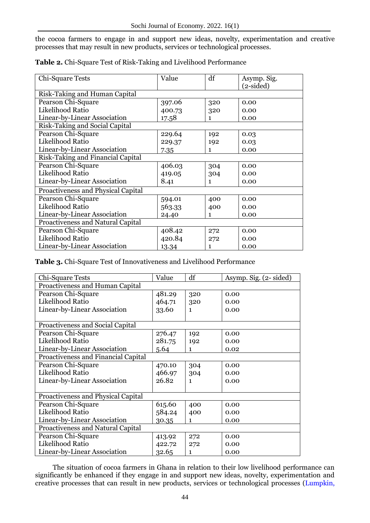the cocoa farmers to engage in and support new ideas, novelty, experimentation and creative processes that may result in new products, services or technological processes.

| Chi-Square Tests                          | Value  | df           | Asymp. Sig. |  |  |  |  |
|-------------------------------------------|--------|--------------|-------------|--|--|--|--|
|                                           |        |              | $(2-sided)$ |  |  |  |  |
| Risk-Taking and Human Capital             |        |              |             |  |  |  |  |
| Pearson Chi-Square                        | 397.06 | 320          | 0.00        |  |  |  |  |
| Likelihood Ratio                          | 400.73 | 320          | 0.00        |  |  |  |  |
| Linear-by-Linear Association              | 17.58  | $\mathbf{1}$ | 0.00        |  |  |  |  |
| Risk-Taking and Social Capital            |        |              |             |  |  |  |  |
| Pearson Chi-Square                        | 229.64 | 192          | 0.03        |  |  |  |  |
| Likelihood Ratio                          | 229.37 | 192          | 0.03        |  |  |  |  |
| Linear-by-Linear Association              | 7.35   | 1            | 0.00        |  |  |  |  |
| Risk-Taking and Financial Capital         |        |              |             |  |  |  |  |
| Pearson Chi-Square                        | 406.03 | 304          | 0.00        |  |  |  |  |
| Likelihood Ratio                          | 419.05 | 304          | 0.00        |  |  |  |  |
| Linear-by-Linear Association              | 8.41   | 1            | 0.00        |  |  |  |  |
| <b>Proactiveness and Physical Capital</b> |        |              |             |  |  |  |  |
| Pearson Chi-Square                        | 594.01 | 400          | 0.00        |  |  |  |  |
| Likelihood Ratio                          | 563.33 | 400          | 0.00        |  |  |  |  |
| Linear-by-Linear Association              | 24.40  | 1            | 0.00        |  |  |  |  |
| <b>Proactiveness and Natural Capital</b>  |        |              |             |  |  |  |  |
| Pearson Chi-Square                        | 408.42 | 272          | 0.00        |  |  |  |  |
| Likelihood Ratio                          | 420.84 | 272          | 0.00        |  |  |  |  |
| Linear-by-Linear Association              | 13.34  | 1            | 0.00        |  |  |  |  |

**Table 2.** Chi-Square Test of Risk-Taking and Livelihood Performance

**Table 3.** Chi-Square Test of Innovativeness and Livelihood Performance

| Chi-Square Tests                          | Value  | df           | Asymp. Sig. (2- sided) |  |  |  |
|-------------------------------------------|--------|--------------|------------------------|--|--|--|
| Proactiveness and Human Capital           |        |              |                        |  |  |  |
| Pearson Chi-Square                        | 481.29 | 320          | 0.00                   |  |  |  |
| Likelihood Ratio                          | 464.71 | 320          | 0.00                   |  |  |  |
| Linear-by-Linear Association              | 33.60  | $\mathbf{1}$ | 0.00                   |  |  |  |
|                                           |        |              |                        |  |  |  |
| Proactiveness and Social Capital          |        |              |                        |  |  |  |
| Pearson Chi-Square                        | 276.47 | 192          | 0.00                   |  |  |  |
| Likelihood Ratio                          | 281.75 | 192          | 0.00                   |  |  |  |
| Linear-by-Linear Association              | 5.64   | $\mathbf{1}$ | 0.02                   |  |  |  |
| Proactiveness and Financial Capital       |        |              |                        |  |  |  |
| Pearson Chi-Square                        | 470.10 | 304          | 0.00                   |  |  |  |
| Likelihood Ratio                          | 466.97 | 304          | 0.00                   |  |  |  |
| Linear-by-Linear Association              | 26.82  | $\mathbf{1}$ | 0.00                   |  |  |  |
|                                           |        |              |                        |  |  |  |
| <b>Proactiveness and Physical Capital</b> |        |              |                        |  |  |  |
| Pearson Chi-Square                        | 615.60 | 400          | 0.00                   |  |  |  |
| Likelihood Ratio                          | 584.24 | 400          | 0.00                   |  |  |  |
| Linear-by-Linear Association              | 30.35  | $\mathbf{1}$ | 0.00                   |  |  |  |
| Proactiveness and Natural Capital         |        |              |                        |  |  |  |
| Pearson Chi-Square                        | 413.92 | 272          | 0.00                   |  |  |  |
| Likelihood Ratio                          | 422.72 | 272          | 0.00                   |  |  |  |
| Linear-by-Linear Association              | 32.65  | $\mathbf{1}$ | 0.00                   |  |  |  |

The situation of cocoa farmers in Ghana in relation to their low livelihood performance can significantly be enhanced if they engage in and support new ideas, novelty, experimentation and creative processes that can result in new products, services or technological processes (Lumpkin,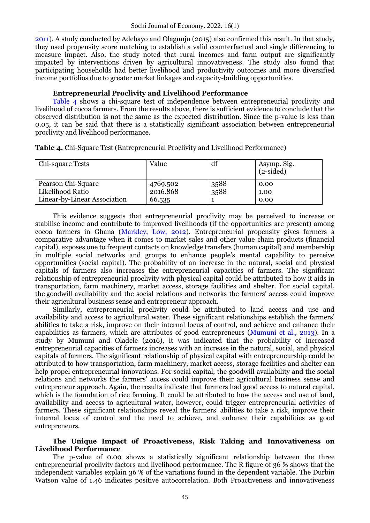2011). A study conducted by Adebayo and Olagunju (2015) also confirmed this result. In that study, they used propensity score matching to establish a valid counterfactual and single differencing to measure impact. Also, the study noted that rural incomes and farm output are significantly impacted by interventions driven by agricultural innovativeness. The study also found that participating households had better livelihood and productivity outcomes and more diversified income portfolios due to greater market linkages and capacity-building opportunities.

### **Entrepreneurial Proclivity and Livelihood Performance**

Table 4 shows a chi-square test of independence between entrepreneurial proclivity and livelihood of cocoa farmers. From the results above, there is sufficient evidence to conclude that the observed distribution is not the same as the expected distribution. Since the p-value is less than 0.05, it can be said that there is a statistically significant association between entrepreneurial proclivity and livelihood performance.

|  |  |  | Table 4. Chi-Square Test (Entrepreneurial Proclivity and Livelihood Performance) |
|--|--|--|----------------------------------------------------------------------------------|
|--|--|--|----------------------------------------------------------------------------------|

| Chi-square Tests             | Value    | df   | Asymp. Sig.<br>$(2-sided)$ |
|------------------------------|----------|------|----------------------------|
| Pearson Chi-Square           | 4769.502 | 3588 | 0.00                       |
| Likelihood Ratio             | 2016.868 | 3588 | 1.00                       |
| Linear-by-Linear Association | 66.535   |      | 0.00                       |

This evidence suggests that entrepreneurial proclivity may be perceived to increase or stabilise income and contribute to improved livelihoods (if the opportunities are present) among cocoa farmers in Ghana (Markley, Low, 2012). Entrepreneurial propensity gives farmers a comparative advantage when it comes to market sales and other value chain products (financial capital), exposes one to frequent contacts on knowledge transfers (human capital) and membership in multiple social networks and groups to enhance people's mental capability to perceive opportunities (social capital). The probability of an increase in the natural, social and physical capitals of farmers also increases the entrepreneurial capacities of farmers. The significant relationship of entrepreneurial proclivity with physical capital could be attributed to how it aids in transportation, farm machinery, market access, storage facilities and shelter. For social capital, the goodwill availability and the social relations and networks the farmers' access could improve their agricultural business sense and entrepreneur approach.

Similarly, entrepreneurial proclivity could be attributed to land access and use and availability and access to agricultural water. These significant relationships establish the farmers' abilities to take a risk, improve on their internal locus of control, and achieve and enhance their capabilities as farmers, which are attributes of good entrepreneurs (Mumuni et al., 2013). In a study by Mumuni and Oladele (2016), it was indicated that the probability of increased entrepreneurial capacities of farmers increases with an increase in the natural, social, and physical capitals of farmers. The significant relationship of physical capital with entrepreneurship could be attributed to how transportation, farm machinery, market access, storage facilities and shelter can help propel entrepreneurial innovations. For social capital, the goodwill availability and the social relations and networks the farmers' access could improve their agricultural business sense and entrepreneur approach. Again, the results indicate that farmers had good access to natural capital, which is the foundation of rice farming. It could be attributed to how the access and use of land, availability and access to agricultural water, however, could trigger entrepreneurial activities of farmers. These significant relationships reveal the farmers' abilities to take a risk, improve their internal locus of control and the need to achieve, and enhance their capabilities as good entrepreneurs.

### **The Unique Impact of Proactiveness, Risk Taking and Innovativeness on Livelihood Performance**

The p-value of 0.00 shows a statistically significant relationship between the three entrepreneurial proclivity factors and livelihood performance. The R figure of 36 % shows that the independent variables explain 36 % of the variations found in the dependent variable. The Durbin Watson value of 1.46 indicates positive autocorrelation. Both Proactiveness and innovativeness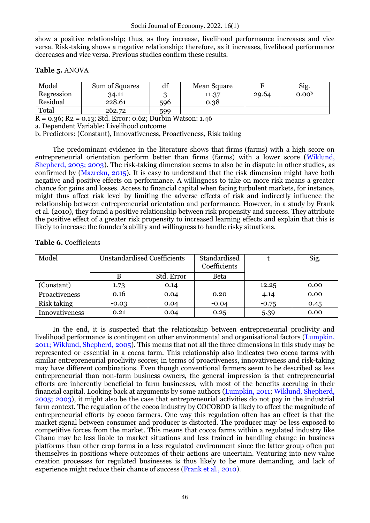show a positive relationship; thus, as they increase, livelihood performance increases and vice versa. Risk-taking shows a negative relationship; therefore, as it increases, livelihood performance decreases and vice versa. Previous studies confirm these results.

## **Table 5.** ANOVA

| Model      | <b>Sum of Squares</b> | αı  | <b>Mean Square</b> |       | Sig.              |
|------------|-----------------------|-----|--------------------|-------|-------------------|
| Regression | 34.11                 |     | 11.37              | 29.64 | 0.00 <sup>b</sup> |
| Residual   | 228.61                | 596 | 0.38               |       |                   |
| Total      | 262.72                | 599 |                    |       |                   |

R = 0.36; R2 = 0.13; Std. Error: 0.62; Durbin Watson: 1.46

a. Dependent Variable: Livelihood outcome

b. Predictors: (Constant), Innovativeness, Proactiveness, Risk taking

The predominant evidence in the literature shows that firms (farms) with a high score on entrepreneurial orientation perform better than firms (farms) with a lower score (Wiklund, Shepherd, 2005; 2003). The risk-taking dimension seems to also be in dispute in other studies, as confirmed by (Mazreku, 2015). It is easy to understand that the risk dimension might have both negative and positive effects on performance. A willingness to take on more risk means a greater chance for gains and losses. Access to financial capital when facing turbulent markets, for instance, might thus affect risk level by limiting the adverse effects of risk and indirectly influence the relationship between entrepreneurial orientation and performance. However, in a study by Frank et al. (2010), they found a positive relationship between risk propensity and success. They attribute the positive effect of a greater risk propensity to increased learning effects and explain that this is likely to increase the founder's ability and willingness to handle risky situations.

## **Table 6.** Coefficients

| Model          | <b>Unstandardised Coefficients</b> |            | Standardised<br>Coefficients |         | Sig. |
|----------------|------------------------------------|------------|------------------------------|---------|------|
|                |                                    | Std. Error | Beta                         |         |      |
| (Constant)     | 1.73                               | 0.14       |                              | 12.25   | 0.00 |
| Proactiveness  | 0.16                               | 0.04       | 0.20                         | 4.14    | 0.00 |
| Risk taking    | $-0.03$                            | 0.04       | $-0.04$                      | $-0.75$ | 0.45 |
| Innovativeness | 0.21                               | 0.04       | 0.25                         | 5.39    | 0.00 |

In the end, it is suspected that the relationship between entrepreneurial proclivity and livelihood performance is contingent on other environmental and organisational factors (Lumpkin, 2011; Wiklund, Shepherd, 2005). This means that not all the three dimensions in this study may be represented or essential in a cocoa farm. This relationship also indicates two cocoa farms with similar entrepreneurial proclivity scores; in terms of proactiveness, innovativeness and risk-taking may have different combinations. Even though conventional farmers seem to be described as less entrepreneurial than non-farm business owners, the general impression is that entrepreneurial efforts are inherently beneficial to farm businesses, with most of the benefits accruing in their financial capital. Looking back at arguments by some authors (Lumpkin, 2011; Wiklund, Shepherd, 2005; 2003), it might also be the case that entrepreneurial activities do not pay in the industrial farm context. The regulation of the cocoa industry by COCOBOD is likely to affect the magnitude of entrepreneurial efforts by cocoa farmers. One way this regulation often has an effect is that the market signal between consumer and producer is distorted. The producer may be less exposed to competitive forces from the market. This means that cocoa farms within a regulated industry like Ghana may be less liable to market situations and less trained in handling change in business platforms than other crop farms in a less regulated environment since the latter group often put themselves in positions where outcomes of their actions are uncertain. Venturing into new value creation processes for regulated businesses is thus likely to be more demanding, and lack of experience might reduce their chance of success (Frank et al., 2010).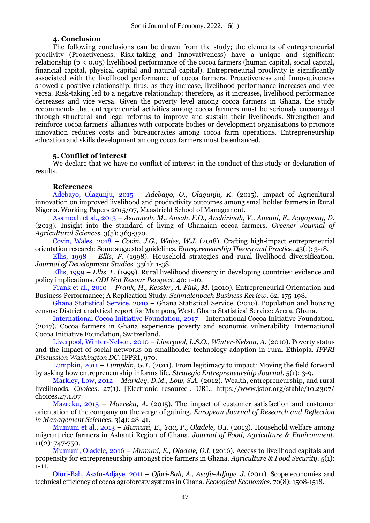#### **4. Conclusion**

The following conclusions can be drawn from the study; the elements of entrepreneurial proclivity (Proactiveness, Risk-taking and Innovativeness) have a unique and significant relationship (p < 0.05) livelihood performance of the cocoa farmers (human capital, social capital, financial capital, physical capital and natural capital). Entrepreneurial proclivity is significantly associated with the livelihood performance of cocoa farmers. Proactiveness and Innovativeness showed a positive relationship; thus, as they increase, livelihood performance increases and vice versa. Risk-taking led to a negative relationship; therefore, as it increases, livelihood performance decreases and vice versa. Given the poverty level among cocoa farmers in Ghana, the study recommends that entrepreneurial activities among cocoa farmers must be seriously encouraged through structural and legal reforms to improve and sustain their livelihoods. Strengthen and reinforce cocoa farmers' alliances with corporate bodies or development organisations to promote innovation reduces costs and bureaucracies among cocoa farm operations. Entrepreneurship education and skills development among cocoa farmers must be enhanced.

## **5. Conflict of interest**

We declare that we have no conflict of interest in the conduct of this study or declaration of results.

## **References**

Adebayo, Olagunju, 2015 – *Adebayo, O., Olagunju, K.* (2015). Impact of Agricultural innovation on improved livelihood and productivity outcomes among smallholder farmers in Rural Nigeria. Working Papers 2015/07, Maastricht School of Management.

Asamoah et al., 2013 – *Asamoah, M., Ansah, F.O., Anchirinah, V., Aneani, F., Agyapong, D.* (2013). Insight into the standard of living of Ghanaian cocoa farmers. *Greener Journal of Agricultural Sciences*. 3(5): 363-370.

Covin, Wales, 2018 – *Covin, J.G., Wales, W.J.* (2018). Crafting high-impact entrepreneurial orientation research: Some suggested guidelines. *Entrepreneurship Theory and Practice.* 43(1): 3-18.

Ellis, 1998 – *Ellis, F.* (1998). Household strategies and rural livelihood diversification. *Journal of Development Studies.* 35(1): 1-38.

Ellis, 1999 – *Ellis, F.* (1999). Rural livelihood diversity in developing countries: evidence and policy implications. *ODI Nat Resour Perspect*. 40: 1-10.

Frank et al., 2010 – *Frank, H., Kessler, A. Fink, M.* (2010). Entrepreneurial Orientation and Business Performance; A Replication Study. *Schmalenbach Business Review*. 62: 175-198.

Ghana Statistical Service, 2010 – Ghana Statistical Service. (2010). Population and housing census: District analytical report for Mampong West. Ghana Statistical Service: Accra, Ghana.

International Cocoa Initiative Foundation, 2017 – International Cocoa Initiative Foundation. (2017). Cocoa farmers in Ghana experience poverty and economic vulnerability. International Cocoa Initiative Foundation, Switzerland.

Liverpool, Winter-Nelson, 2010 – *Liverpool, L.S.O., Winter-Nelson, A.* (2010). Poverty status and the impact of social networks on smallholder technology adoption in rural Ethiopia. *IFPRI Discussion Washington DC.* IFPRI, 970.

Lumpkin, 2011 – *Lumpkin, G.T.* (2011). From legitimacy to impact: Moving the field forward by asking how entrepreneurship informs life. *Strategic Entrepreneurship Journal*. 5(1): 3-9.

Markley, Low, 2012 – *Markley, D.M., Low, S.A.* (2012). Wealth, entrepreneurship, and rural livelihoods. *Choices*. 27(1). [Electronic resource]. URL: https://www.jstor.org/stable/10.2307/ choices.27.1.07

Mazreku, 2015 – *Mazreku, A*. (2015). The impact of customer satisfaction and customer orientation of the company on the verge of gaining. *European Journal of Research and Reflection in Management Sciences*. 3(4): 28-41.

Mumuni et al., 2013 – *Mumuni, E., Yaa, P., Oladele, O.I*. (2013). Household welfare among migrant rice farmers in Ashanti Region of Ghana. *Journal of Food, Agriculture & Environment*. 11(2): 747-750.

Mumuni, Oladele, 2016 – *Mumuni, E., Oladele, O.I.* (2016). Access to livelihood capitals and propensity for entrepreneurship amongst rice farmers in Ghana. *Agriculture & Food Security*. 5(1): 1-11.

Ofori-Bah, Asafu-Adjaye, 2011 – *Ofori-Bah, A., Asafu-Adjaye, J.* (2011). Scope economies and technical efficiency of cocoa agroforesty systems in Ghana. *Ecological Economics*. 70(8): 1508-1518.